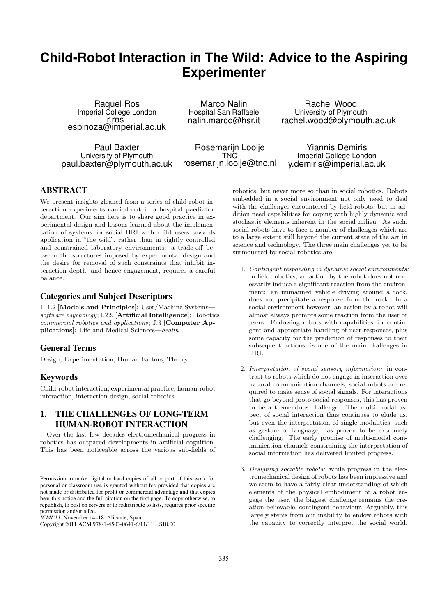# **Child-Robot Interaction in The Wild: Advice to the Aspiring Experimenter**

Raquel Ros Imperial College London r.rosespinoza@imperial.ac.uk

Marco Nalin Hospital San Raffaele nalin.marco@hsr.it

Paul Baxter University of Plymouth paul.baxter@plymouth.ac.uk

Rosemarijn Looije TNO rosemarijn.looije@tno.nl

Rachel Wood University of Plymouth rachel.wood@plymouth.ac.uk

Yiannis Demiris Imperial College London y.demiris@imperial.ac.uk

# ABSTRACT

We present insights gleaned from a series of child-robot interaction experiments carried out in a hospital paediatric department. Our aim here is to share good practice in experimental design and lessons learned about the implementation of systems for social HRI with child users towards application in "the wild", rather than in tightly controlled and constrained laboratory environments: a trade-off between the structures imposed by experimental design and the desire for removal of such constraints that inhibit interaction depth, and hence engagement, requires a careful balance.

# Categories and Subject Descriptors

H.1.2 [Models and Principles]: User/Machine Systems software psychology; I.2.9 [Artificial Intelligence]: Robotics commercial robotics and applications; J.3 [Computer Applications]: Life and Medical Sciences—health

# General Terms

Design, Experimentation, Human Factors, Theory.

# Keywords

Child-robot interaction, experimental practice, human-robot interaction, interaction design, social robotics.

# 1. THE CHALLENGES OF LONG-TERM HUMAN-ROBOT INTERACTION

Over the last few decades electromechanical progress in robotics has outpaced developments in artificial cognition. This has been noticeable across the various sub-fields of

Copyright 2011 ACM 978-1-4503-0641-6/11/11 ...\$10.00.

robotics, but never more so than in social robotics. Robots embedded in a social environment not only need to deal with the challenges encountered by field robots, but in addition need capabilities for coping with highly dynamic and stochastic elements inherent in the social milieu. As such, social robots have to face a number of challenges which are to a large extent still beyond the current state of the art in science and technology. The three main challenges yet to be surmounted by social robotics are:

- 1. Contingent responding in dynamic social environments: In field robotics, an action by the robot does not necessarily induce a significant reaction from the environment: an unmanned vehicle driving around a rock, does not precipitate a response from the rock. In a social environment however, an action by a robot will almost always prompts some reaction from the user or users. Endowing robots with capabilities for contingent and appropriate handling of user responses, plus some capacity for the prediction of responses to their subsequent actions, is one of the main challenges in HRI.
- 2. Interpretation of social sensory information: in contrast to robots which do not engage in interaction over natural communication channels, social robots are required to make sense of social signals. For interactions that go beyond proto-social responses, this has proven to be a tremendous challenge. The multi-modal aspect of social interaction thus continues to elude us, but even the interpretation of single modalities, such as gesture or language, has proven to be extremely challenging. The early promise of multi-modal communication channels constraining the interpretation of social information has delivered limited progress.
- 3. Designing sociable robots: while progress in the electromechanical design of robots has been impressive and we seem to have a fairly clear understanding of which elements of the physical embodiment of a robot engage the user, the biggest challenge remains the creation believable, contingent behaviour. Arguably, this largely stems from our inability to endow robots with the capacity to correctly interpret the social world,

Permission to make digital or hard copies of all or part of this work for personal or classroom use is granted without fee provided that copies are not made or distributed for profit or commercial advantage and that copies bear this notice and the full citation on the first page. To copy otherwise, to republish, to post on servers or to redistribute to lists, requires prior specific permission and/or a fee.

*ICMI'11,* November 14–18, Alicante, Spain.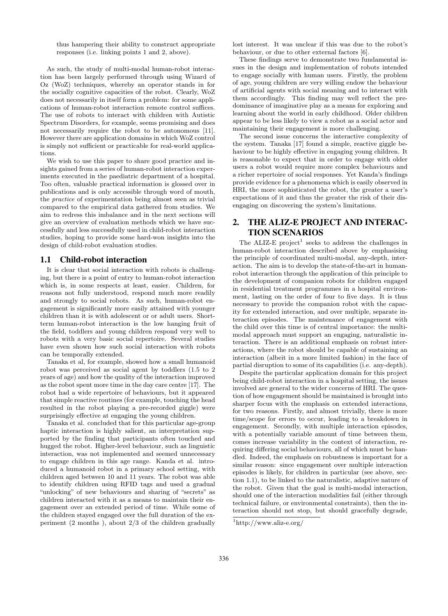thus hampering their ability to construct appropriate responses (i.e. linking points 1 and 2, above).

As such, the study of multi-modal human-robot interaction has been largely performed through using Wizard of Oz (WoZ) techniques, whereby an operator stands in for the socially cognitive capacities of the robot. Clearly, WoZ does not necessarily in itself form a problem: for some applications of human-robot interaction remote control suffices. The use of robots to interact with children with Autistic Spectrum Disorders, for example, seems promising and does not necessarily require the robot to be autonomous [11]. However there are application domains in which WoZ control is simply not sufficient or practicable for real-world applications.

We wish to use this paper to share good practice and insights gained from a series of human-robot interaction experiments executed in the paediatric department of a hospital. Too often, valuable practical information is glossed over in publications and is only accessible through word of mouth, the practice of experimentation being almost seen as trivial compared to the empirical data gathered from studies. We aim to redress this imbalance and in the next sections will give an overview of evaluation methods which we have successfully and less successfully used in child-robot interaction studies, hoping to provide some hard-won insights into the design of child-robot evaluation studies.

## 1.1 Child-robot interaction

It is clear that social interaction with robots is challenging, but there is a point of entry to human-robot interaction which is, in some respects at least, easier. Children, for reasons not fully understood, respond much more readily and strongly to social robots. As such, human-robot engagement is significantly more easily attained with younger children than it is with adolescent or or adult users. Shortterm human-robot interaction is the low hanging fruit of the field, toddlers and young children respond very well to robots with a very basic social repertoire. Several studies have even shown how such social interaction with robots can be temporally extended.

Tanaka et al, for example, showed how a small humanoid robot was perceived as social agent by toddlers (1.5 to 2 years of age) and how the quality of the interaction improved as the robot spent more time in the day care centre [17]. The robot had a wide repertoire of behaviours, but it appeared that simple reactive routines (for example, touching the head resulted in the robot playing a pre-recorded giggle) were surprisingly effective at engaging the young children.

Tanaka et al. concluded that for this particular age-group haptic interaction is highly salient, an interpretation supported by the finding that participants often touched and hugged the robot. Higher-level behaviour, such as linguistic interaction, was not implemented and seemed unnecessary to engage children in this age range. Kanda et al. introduced a humanoid robot in a primary school setting, with children aged between 10 and 11 years. The robot was able to identify children using RFID tags and used a gradual "unlocking" of new behaviours and sharing of "secrets" as children interacted with it as a means to maintain their engagement over an extended period of time. While some of the children stayed engaged over the full duration of the experiment (2 months ), about 2/3 of the children gradually lost interest. It was unclear if this was due to the robot's behaviour, or due to other external factors [6].

These findings serve to demonstrate two fundamental issues in the design and implementation of robots intended to engage socially with human users. Firstly, the problem of age, young children are very willing endow the behaviour of artificial agents with social meaning and to interact with them accordingly. This finding may well reflect the predominance of imaginative play as a means for exploring and learning about the world in early childhood. Older children appear to be less likely to view a robot as a social actor and maintaining their engagement is more challenging.

The second issue concerns the interactive complexity of the system. Tanaka [17] found a simple, reactive giggle behaviour to be highly effective in engaging young children. It is reasonable to expect that in order to engage with older users a robot would require more complex behaviours and a richer repertoire of social responses. Yet Kanda's findings provide evidence for a phenomena which is easily observed in HRI, the more sophisticated the robot, the greater a user's expectations of it and thus the greater the risk of their disengaging on discovering the system's limitations.

# 2. THE ALIZ-E PROJECT AND INTERAC-TION SCENARIOS

The ALIZ-E project<sup>1</sup> seeks to address the challenges in human-robot interaction described above by emphasising the principle of coordinated multi-modal, any-depth, interaction. The aim is to develop the state-of-the-art in humanrobot interaction through the application of this principle to the development of companion robots for children engaged in residential treatment programmes in a hospital environment, lasting on the order of four to five days. It is thus necessary to provide the companion robot with the capacity for extended interaction, and over multiple, separate interaction episodes. The maintenance of engagement with the child over this time is of central importance: the multimodal approach must support an engaging, naturalistic interaction. There is an additional emphasis on robust interactions, where the robot should be capable of sustaining an interaction (albeit in a more limited fashion) in the face of partial disruption to some of its capabilities (i.e. any-depth).

Despite the particular application domain for this project being child-robot interaction in a hospital setting, the issues involved are general to the wider concerns of HRI. The question of how engagement should be maintained is brought into sharper focus with the emphasis on extended interactions, for two reasons. Firstly, and almost trivially, there is more time/scope for errors to occur, leading to a breakdown in engagement. Secondly, with multiple interaction episodes, with a potentially variable amount of time between them, comes increase variability in the context of interaction, requiring differing social behaviours, all of which must be handled. Indeed, the emphasis on robustness is important for a similar reason: since engagement over multiple interaction episodes is likely, for children in particular (see above, section 1.1), to be linked to the naturalistic, adaptive nature of the robot. Given that the goal is multi-modal interaction, should one of the interaction modalities fail (either through technical failure, or environmental constraints), then the interaction should not stop, but should gracefully degrade,

<sup>1</sup>http://www.aliz-e.org/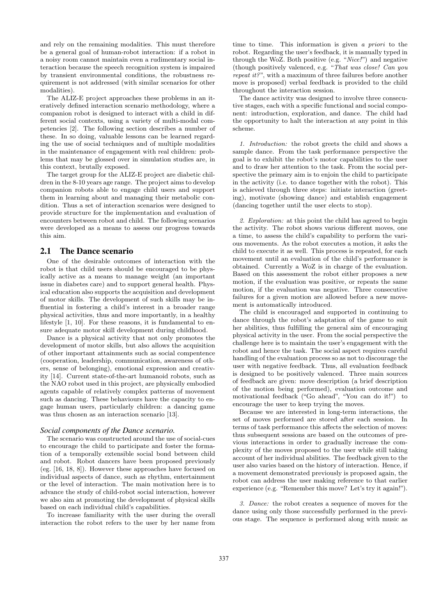and rely on the remaining modalities. This must therefore be a general goal of human-robot interaction: if a robot in a noisy room cannot maintain even a rudimentary social interaction because the speech recognition system is impaired by transient environmental conditions, the robustness requirement is not addressed (with similar scenarios for other modalities).

The ALIZ-E project approaches these problems in an iteratively defined interaction scenario methodology, where a companion robot is designed to interact with a child in different social contexts, using a variety of multi-modal competencies [2]. The following section describes a number of these. In so doing, valuable lessons can be learned regarding the use of social techniques and of multiple modalities in the maintenance of engagement with real children: problems that may be glossed over in simulation studies are, in this context, brutally exposed.

The target group for the ALIZ-E project are diabetic children in the 8-10 years age range. The project aims to develop companion robots able to engage child users and support them in learning about and managing their metabolic condition. Thus a set of interaction scenarios were designed to provide structure for the implementation and evaluation of encounters between robot and child. The following scenarios were developed as a means to assess our progress towards this aim.

# 2.1 The Dance scenario

One of the desirable outcomes of interaction with the robot is that child users should be encouraged to be physically active as a means to manage weight (an important issue in diabetes care) and to support general health. Physical education also supports the acquisition and development of motor skills. The development of such skills may be influential in fostering a child's interest in a broader range physical activities, thus and more importantly, in a healthy lifestyle [1, 10]. For these reasons, it is fundamental to ensure adequate motor skill development during childhood.

Dance is a physical activity that not only promotes the development of motor skills, but also allows the acquisition of other important attainments such as social compentence (cooperation, leadership, communication, awareness of others, sense of belonging), emotional expression and creativity [14]. Current state-of-the-art humanoid robots, such as the NAO robot used in this project, are physically embodied agents capable of relatively complex patterns of movement such as dancing. These behaviours have the capacity to engage human users, particularly children: a dancing game was thus chosen as an interaction scenario [13].

#### *Social components of the Dance scenario.*

The scenario was constructed around the use of social-cues to encourage the child to participate and foster the formation of a temporally extensible social bond between child and robot. Robot dancers have been proposed previously (eg. [16, 18, 8]). However these approaches have focused on individual aspects of dance, such as rhythm, entertainment or the level of interaction. The main motivation here is to advance the study of child-robot social interaction, however we also aim at promoting the development of physical skills based on each individual child's capabilities.

To increase familiarity with the user during the overall interaction the robot refers to the user by her name from time to time. This information is given a priori to the robot. Regarding the user's feedback, it is manually typed in through the WoZ. Both positive (e.g. "Nice!") and negative (though positively valenced, e.g. "That was close! Can you repeat it?", with a maximum of three failures before another move is proposed) verbal feedback is provided to the child throughout the interaction session.

The dance activity was designed to involve three consecutive stages, each with a specific functional and social component: introduction, exploration, and dance. The child had the opportunity to halt the interaction at any point in this scheme.

1. Introduction: the robot greets the child and shows a sample dance. From the task performance perspective the goal is to exhibit the robot's motor capabilities to the user and to draw her attention to the task. From the social perspective the primary aim is to enjoin the child to participate in the activity (i.e. to dance together with the robot). This is achieved through three steps: initiate interaction (greeting), motivate (showing dance) and establish engagement (dancing together until the user elects to stop).

2. Exploration: at this point the child has agreed to begin the activity. The robot shows various different moves, one a time, to assess the child's capability to perform the various movements. As the robot executes a motion, it asks the child to execute it as well. This process is repeated, for each movement until an evaluation of the child's performance is obtained. Currently a WoZ is in charge of the evaluation. Based on this assessment the robot either proposes a new motion, if the evaluation was positive, or repeats the same motion, if the evaluation was negative. Three consecutive failures for a given motion are allowed before a new movement is automatically introduced.

The child is encouraged and supported in continuing to dance through the robot's adaptation of the game to suit her abilities, thus fulfilling the general aim of encouraging physical activity in the user. From the social perspective the challenge here is to maintain the user's engagement with the robot and hence the task. The social aspect requires careful handling of the evaluation process so as not to discourage the user with negative feedback. Thus, all evaluation feedback is designed to be positively valenced. Three main sources of feedback are given: move description (a brief description of the motion being performed), evaluation outcome and motivational feedback ("Go ahead", "You can do it!") to encourage the user to keep trying the moves.

Because we are interested in long-term interactions, the set of moves performed are stored after each session. In terms of task performance this affects the selection of moves: thus subsequent sessions are based on the outcomes of previous interactions in order to gradually increase the complexity of the moves proposed to the user while still taking account of her individual abilities. The feedback given to the user also varies based on the history of interaction. Hence, if a movement demonstrated previously is proposed again, the robot can address the user making reference to that earlier experience (e.g. "Remember this move? Let's try it again!").

3. Dance: the robot creates a sequence of moves for the dance using only those successfully performed in the previous stage. The sequence is performed along with music as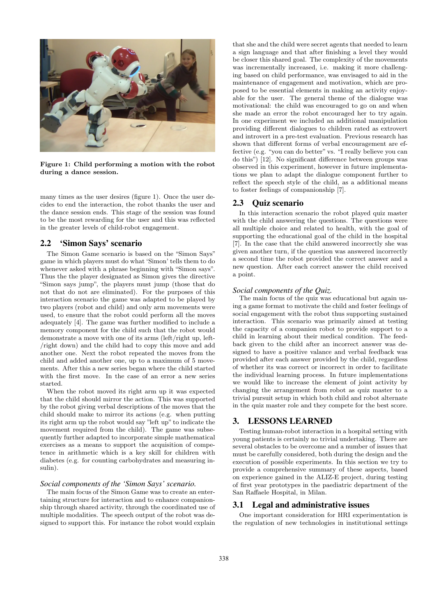

Figure 1: Child performing a motion with the robot during a dance session.

many times as the user desires (figure 1). Once the user decides to end the interaction, the robot thanks the user and the dance session ends. This stage of the session was found to be the most rewarding for the user and this was reflected in the greater levels of child-robot engagement.

# 2.2 'Simon Says' scenario

The Simon Game scenario is based on the "Simon Says" game in which players must do what 'Simon' tells them to do whenever asked with a phrase beginning with "Simon says". Thus the the player designated as Simon gives the directive "Simon says jump", the players must jump (those that do not that do not are eliminated). For the purposes of this interaction scenario the game was adapted to be played by two players (robot and child) and only arm movements were used, to ensure that the robot could perform all the moves adequately [4]. The game was further modified to include a memory component for the child such that the robot would demonstrate a move with one of its arms (left/right up, left- /right down) and the child had to copy this move and add another one. Next the robot repeated the moves from the child and added another one, up to a maximum of 5 movements. After this a new series began where the child started with the first move. In the case of an error a new series started.

When the robot moved its right arm up it was expected that the child should mirror the action. This was supported by the robot giving verbal descriptions of the moves that the child should make to mirror its actions (e.g. when putting its right arm up the robot would say "left up" to indicate the movement required from the child). The game was subsequently further adapted to incorporate simple mathematical exercises as a means to support the acquisition of competence in arithmetic which is a key skill for children with diabetes (e.g. for counting carbohydrates and measuring insulin).

#### *Social components of the 'Simon Says' scenario.*

The main focus of the Simon Game was to create an entertaining structure for interaction and to enhance companionship through shared activity, through the coordinated use of multiple modalities. The speech output of the robot was designed to support this. For instance the robot would explain

that she and the child were secret agents that needed to learn a sign language and that after finishing a level they would be closer this shared goal. The complexity of the movements was incrementally increased, i.e. making it more challenging based on child performance, was envisaged to aid in the maintenance of engagement and motivation, which are proposed to be essential elements in making an activity enjoyable for the user. The general theme of the dialogue was motivational: the child was encouraged to go on and when she made an error the robot encouraged her to try again. In one experiment we included an additional manipulation providing different dialogues to children rated as extrovert and introvert in a pre-test evaluation. Previous research has shown that different forms of verbal encouragement are effective (e.g. "you can do better" vs. "I really believe you can do this") [12]. No significant difference between groups was observed in this experiment, however in future implementations we plan to adapt the dialogue component further to reflect the speech style of the child, as a additional means to foster feelings of companionship [7].

# 2.3 Quiz scenario

In this interaction scenario the robot played quiz master with the child answering the questions. The questions were all multiple choice and related to health, with the goal of supporting the educational goal of the child in the hospital [7]. In the case that the child answered incorrectly she was given another turn, if the question was answered incorrectly a second time the robot provided the correct answer and a new question. After each correct answer the child received a point.

#### *Social components of the Quiz.*

The main focus of the quiz was educational but again using a game format to motivate the child and foster feelings of social engagement with the robot thus supporting sustained interaction. This scenario was primarily aimed at testing the capacity of a companion robot to provide support to a child in learning about their medical condition. The feedback given to the child after an incorrect answer was designed to have a positive valance and verbal feedback was provided after each answer provided by the child, regardless of whether its was correct or incorrect in order to facilitate the individual learning process. In future implementations we would like to increase the element of joint activity by changing the arrangement from robot as quiz master to a trivial pursuit setup in which both child and robot alternate in the quiz master role and they compete for the best score.

# 3. LESSONS LEARNED

Testing human-robot interaction in a hospital setting with young patients is certainly no trivial undertaking. There are several obstacles to be overcome and a number of issues that must be carefully considered, both during the design and the execution of possible experiments. In this section we try to provide a comprehensive summary of these aspects, based on experience gained in the ALIZ-E project, during testing of first year prototypes in the paediatric department of the San Raffaele Hospital, in Milan.

# 3.1 Legal and administrative issues

One important consideration for HRI experimentation is the regulation of new technologies in institutional settings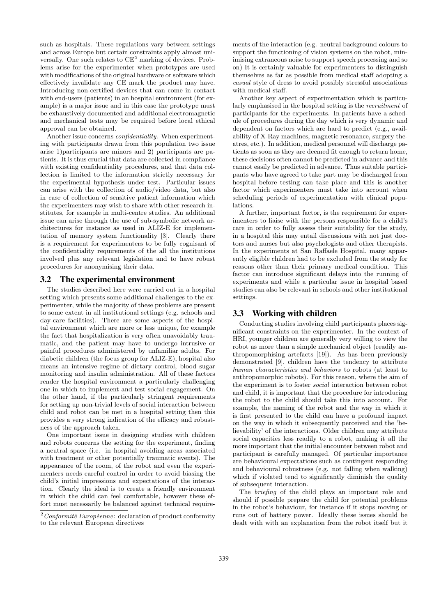such as hospitals. These regulations vary between settings and across Europe but certain constraints apply almost universally. One such relates to  $CE<sup>2</sup>$  marking of devices. Problems arise for the experimenter when prototypes are used with modifications of the original hardware or software which effectively invalidate any CE mark the product may have. Introducing non-certified devices that can come in contact with end-users (patients) in an hospital environment (for example) is a major issue and in this case the prototype must be exhaustively documented and additional electromagnetic and mechanical tests may be required before local ethical approval can be obtained.

Another issue concerns confidentiality. When experimenting with participants drawn from this population two issue arise 1)participants are minors and 2) participants are patients. It is thus crucial that data are collected in compliance with existing confidentiality procedures, and that data collection is limited to the information strictly necessary for the experimental hypothesis under test. Particular issues can arise with the collection of audio/video data, but also in case of collection of sensitive patient information which the experimenters may wish to share with other research institutes, for example in multi-centre studies. An additional issue can arise through the use of sub-symbolic network architectures for instance as used in ALIZ-E for implementation of memory system functionality [3]. Clearly there is a requirement for experimenters to be fully cognisant of the confidentiality requirements of the all the institutions involved plus any relevant legislation and to have robust procedures for anonymising their data.

# 3.2 The experimental environment

The studies described here were carried out in a hospital setting which presents some additional challenges to the experimenter, while the majority of these problems are present to some extent in all institutional settings (e.g. schools and day-care facilities). There are some aspects of the hospital environment which are more or less unique, for example the fact that hospitalization is very often unavoidably traumatic, and the patient may have to undergo intrusive or painful procedures administered by unfamiliar adults. For diabetic children (the focus group for ALIZ-E), hospital also means an intensive regime of dietary control, blood sugar monitoring and insulin administration. All of these factors render the hospital environment a particularly challenging one in which to implement and test social engagement. On the other hand, if the particularly stringent requirements for setting up non-trivial levels of social interaction between child and robot can be met in a hospital setting then this provides a very strong indication of the efficacy and robustness of the approach taken.

One important issue in designing studies with children and robots concerns the setting for the experiment, finding a neutral space (i.e. in hospital avoiding areas associated with treatment or other potentially traumatic events). The appearance of the room, of the robot and even the experimenters needs careful control in order to avoid biasing the child's initial impressions and expectations of the interaction. Clearly the ideal is to create a friendly environment in which the child can feel comfortable, however these effort must necessarily be balanced against technical requirements of the interaction (e.g. neutral background colours to support the functioning of vision systems on the robot, minimising extraneous noise to support speech processing and so on) It is certainly valuable for experimenters to distinguish themselves as far as possible from medical staff adopting a casual style of dress to avoid possibly stressful associations with medical staff.

Another key aspect of experimentation which is particularly emphasised in the hospital setting is the recruitment of participants for the experiments. In-patients have a schedule of procedures during the day which is very dynamic and dependent on factors which are hard to predict (e.g., availability of X-Ray machines, magnetic resonance, surgery theatres, etc.). In addition, medical personnel will discharge patients as soon as they are deemed fit enough to return home, these decisions often cannot be predicted in advance and this cannot easily be predicted in advance. Thus suitable participants who have agreed to take part may be discharged from hospital before testing can take place and this is another factor which experimenters must take into account when scheduling periods of experimentation with clinical populations.

A further, important factor, is the requirement for experimenters to liaise with the persons responsible for a child's care in order to fully assess their suitability for the study, in a hospital this may entail discussions with not just doctors and nurses but also psychologists and other therapists. In the experiments at San Raffaele Hospital, many apparently eligible children had to be excluded from the study for reasons other than their primary medical condition. This factor can introduce significant delays into the running of experiments and while a particular issue in hospital based studies can also be relevant in schools and other institutional settings.

# 3.3 Working with children

Conducting studies involving child participants places significant constraints on the experimenter. In the context of HRI, younger children are generally very willing to view the robot as more than a simple mechanical object (readily anthropomorphising artefacts [19]). As has been previously demonstrated [9], children have the tendency to attribute human characteristics and behaviors to robots (at least to anthropomorphic robots). For this reason, where the aim of the experiment is to foster social interaction between robot and child, it is important that the procedure for introducing the robot to the child should take this into account. For example, the naming of the robot and the way in which it is first presented to the child can have a profound impact on the way in which it subsequently perceived and the 'believability' of the interactions. Older children may attribute social capacities less readily to a robot, making it all the more important that the initial encounter between robot and participant is carefully managed. Of particular importance are behavioural expectations such as contingent responding and behavioural robustness (e.g. not falling when walking) which if violated tend to significantly diminish the quality of subsequent interaction.

The briefing of the child plays an important role and should if possible prepare the child for potential problems in the robot's behaviour, for instance if it stops moving or runs out of battery power. Ideally these issues should be dealt with with an explanation from the robot itself but it

 $2$ Conformitè Europèenne: declaration of product conformity to the relevant European directives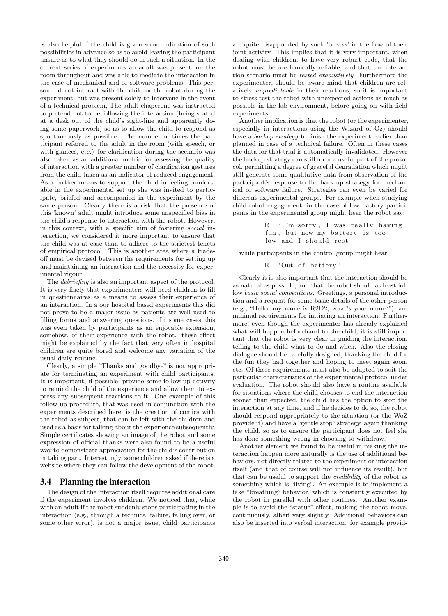is also helpful if the child is given some indication of such possibilities in advance so as to avoid leaving the participant unsure as to what they should do in such a situation. In the current series of experiments an adult was present ion the room throughout and was able to mediate the interaction in the case of mechanical and or software problems. This person did not interact with the child or the robot during the experiment, but was present solely to intervene in the event of a technical problem, The adult chaperone was instructed to pretend not to be following the interaction (being seated at a desk out of the child's sight-line and apparently doing some paperwork) so as to allow the child to respond as spontaneously as possible. The number of times the participant referred to the adult in the room (with speech, or with glances, etc.) for clarification during the scenario was also taken as an additional metric for assessing the quality of interaction with a greater number of clarification gestures from the child taken as an indicator of reduced engagement. As a further means to support the child in feeling comfortable in the experimental set up she was invited to participate, briefed and accompanied in the experiment by the same person. Clearly there is a risk that the presence of this 'known' adult might introduce some unspecified bias in the child's response to interaction with the robot. However, in this context, with a specific aim of fostering social interaction, we considered it more important to ensure that the child was at ease than to adhere to the strictest tenets of empirical protocol. This is another area where a tradeoff must be devised between the requirements for setting up and maintaining an interaction and the necessity for experimental rigour.

The debriefing is also an important aspect of the protocol. It is very likely that experimenters will need children to fill in questionnaires as a means to assess their experience of an interaction. In a our hospital based experiments this did not prove to be a major issue as patients are well used to filling forms and answering questions. In some cases this was even taken by participants as an enjoyable extension, somehow, of their experience with the robot. these effect might be explained by the fact that very often in hospital children are quite bored and welcome any variation of the usual daily routine.

Clearly, a simple "Thanks and goodbye" is not appropriate for terminating an experiment with child participants. It is important, if possible, provide some follow-up activity to remind the child of the experience and allow them to express any subsequent reactions to it. One example of this follow-up procedure, that was used in conjunction with the experiments described here, is the creation of comics with the robot as subject, that can be left with the children and used as a basis for talking about the experience subsequently. Simple certificates showing an image of the robot and some expression of official thanks were also found to be a useful way to demonstrate appreciation for the child's contribution in taking part. Interestingly, some children asked if there is a website where they can follow the development of the robot.

## 3.4 Planning the interaction

The design of the interaction itself requires additional care if the experiment involves children. We noticed that, while with an adult if the robot suddenly stops participating in the interaction (e.g., through a technical failure, falling over, or some other error), is not a major issue, child participants

are quite disappointed by such 'breaks' in the flow of their joint activity. This implies that it is very important, when dealing with children, to have very robust code, that the robot must be mechanically reliable, and that the interaction scenario must be tested exhaustively. Furthermore the experimenter, should be aware mind that children are relatively unpredictable in their reactions, so it is important to stress test the robot with unexpected actions as much as possible in the lab environment, before going on with field experiments.

Another implication is that the robot (or the experimenter, especially in interactions using the Wizard of Oz) should have a *backup strategy* to finish the experiment earlier than planned in case of a technical failure. Often in these cases the data for that trial is automatically invalidated. However the backup strategy can still form a useful part of the protocol, permitting a degree of graceful degradation which might still generate some qualitative data from observation of the participant's response to the back-up strategy for mechanical or software failure. Strategies can even be varied for different experimental groups. For example when studying child-robot engagement, in the case of low battery participants in the experimental group might hear the robot say:

> R: 'I'm sorry, I was really having fun, but now my battery is too low and I should rest '

while participants in the control group might hear:

#### R: 'Out of battery'

Clearly it is also important that the interaction should be as natural as possible, and that the robot should at least follow basic social conventions. Greetings, a personal introduction and a request for some basic details of the other person (e.g., "Hello, my name is R2D2, what's your name?") are minimal requirements for initiating an interaction. Furthermore, even though the experimenter has already explained what will happen beforehand to the child, it is still important that the robot is very clear in guiding the interaction, telling to the child what to do and when. Also the closing dialogue should be carefully designed, thanking the child for the fun they had together and hoping to meet again soon, etc. Of these requirements must also be adapted to suit the particular characteristics of the experimental protocol under evaluation. The robot should also have a routine available for situations where the child chooses to end the interaction sooner than expected, the child has the option to stop the interaction at any time, and if he decides to do so, the robot should respond appropriately to the situation (or the WoZ provide it) and have a "gentle stop" strategy, again thanking the child, so as to ensure the participant does not feel she has done something wrong in choosing to withdraw.

Another element we found to be useful in making the interaction happen more naturally is the use of additional behaviors, not directly related to the experiment or interaction itself (and that of course will not influence its result), but that can be useful to support the credibility of the robot as something which is "living". An example is to implement a fake "breathing" behavior, which is constantly executed by the robot in parallel with other routines. Another example is to avoid the "statue" effect, making the robot move, continuously, albeit very slightly. Additional behaviors can also be inserted into verbal interaction, for example provid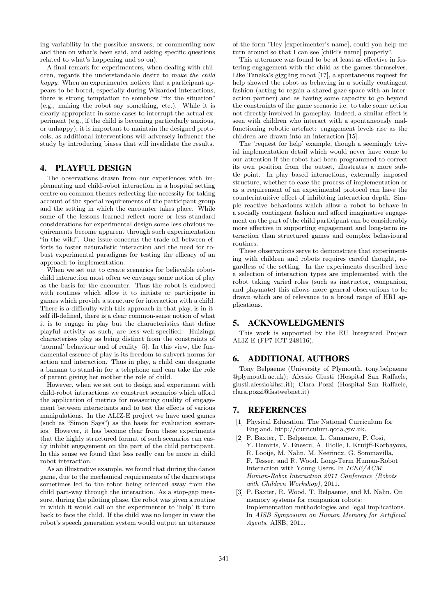ing variability in the possible answers, or commenting now and then on what's been said, and asking specific questions related to what's happening and so on).

A final remark for experimenters, when dealing with children, regards the understandable desire to make the child happy. When an experimenter notices that a participant appears to be bored, especially during Wizarded interactions, there is strong temptation to somehow "fix the situation" (e.g., making the robot say something, etc.). While it is clearly appropriate in some cases to interrupt the actual experiment (e.g., if the child is becoming particularly anxious, or unhappy), it is important to maintain the designed protocols, as additional interventions will adversely influence the study by introducing biases that will invalidate the results.

# 4. PLAYFUL DESIGN

The observations drawn from our experiences with implementing and child-robot interaction in a hospital setting centre on common themes reflecting the necessity for taking account of the special requirements of the participant group and the setting in which the encounter takes place. While some of the lessons learned reflect more or less standard considerations for experimental design some less obvious requirements become apparent through such experimentation "in the wild". One issue concerns the trade off between efforts to foster naturalistic interaction and the need for robust experimental paradigms for testing the efficacy of an approach to implementation.

When we set out to create scenarios for believable robotchild interaction most often we envisage some notion of play as the basis for the encounter. Thus the robot is endowed with routines which allow it to initiate or participate in games which provide a structure for interaction with a child. There is a difficulty with this approach in that play, is in itself ill-defined, there is a clear common-sense notion of what it is to engage in play but the characteristics that define playful activity as such, are less well-specified. Huizinga characterises play as being distinct from the constraints of 'normal' behaviour and of reality [5]. In this view, the fundamental essence of play is its freedom to subvert norms for action and interaction. Thus in play, a child can designate a banana to stand-in for a telephone and can take the role of parent giving her mother the role of child.

However, when we set out to design and experiment with child-robot interactions we construct scenarios which afford the application of metrics for measuring quality of engagement between interactants and to test the effects of various manipulations. In the ALIZ-E project we have used games (such as "Simon Says") as the basis for evaluation scenarios. However, it has become clear from these experiments that the highly structured format of such scenarios can easily inhibit engagement on the part of the child participant. In this sense we found that less really can be more in child robot interaction.

As an illustrative example, we found that during the dance game, due to the mechanical requirements of the dance steps sometimes led to the robot being oriented away from the child part-way through the interaction. As a stop-gap measure, during the piloting phase, the robot was given a routine in which it would call on the experimenter to 'help' it turn back to face the child. If the child was no longer in view the robot's speech generation system would output an utterance of the form "Hey [experimenter's name], could you help me turn around so that I can see [child's name] properly".

This utterance was found to be at least as effective in fostering engagement with the child as the games themselves. Like Tanaka's giggling robot [17], a spontaneous request for help showed the robot as behaving in a socially contingent fashion (acting to regain a shared gaze space with an interaction partner) and as having some capacity to go beyond the constraints of the game scenario i.e. to take some action not directly involved in gameplay. Indeed, a similar effect is seen with children who interact with a spontaneously malfunctioning robotic artefact: engagement levels rise as the children are drawn into an interaction [15].

The 'request for help' example, though a seemingly trivial implementation detail which would never have come to our attention if the robot had been programmed to correct its own position from the outset, illustrates a more subtle point. In play based interactions, externally imposed structure, whether to ease the process of implementation or as a requirement of an experimental protocol can have the counterintuitive effect of inhibiting interaction depth. Simple reactive behaviours which allow a robot to behave in a socially contingent fashion and afford imaginative engagement on the part of the child participant can be considerably more effective in supporting engagement and long-term interaction than structured games and complex behavioural routines.

These observations serve to demonstrate that experimenting with children and robots requires careful thought, regardless of the setting. In the experiments described here a selection of interaction types are implemented with the robot taking varied roles (such as instructor, companion, and playmate) this allows more general observations to be drawn which are of relevance to a broad range of HRI applications.

# 5. ACKNOWLEDGMENTS

This work is supported by the EU Integrated Project ALIZ-E (FP7-ICT-248116).

## 6. ADDITIONAL AUTHORS

Tony Belpaeme (University of Plymouth, tony.belpaeme @plymouth.ac.uk); Alessio Giusti (Hospital San Raffaele, giusti.alessio@hsr.it); Clara Pozzi (Hospital San Raffaele, clara.pozzi@fastwebnet.it)

## 7. REFERENCES

- [1] Physical Education, The National Curriculum for England. http://curriculum.qcda.gov.uk.
- [2] P. Baxter, T. Belpaeme, L. Canamero, P. Cosi, Y. Demiris, V. Enescu, A. Hiolle, I. Kruijff-Korbayova, R. Looije, M. Nalin, M. Neerincx, G. Sommavilla, F. Tesser, and R. Wood. Long-Term Human-Robot Interaction with Young Users. In IEEE/ACM Human-Robot Interaction 2011 Conference (Robots with Children Workshop), 2011.
- [3] P. Baxter, R. Wood, T. Belpaeme, and M. Nalin. On memory systems for companion robots: Implementation methodologies and legal implications. In AISB Symposium on Human Memory for Artificial Agents. AISB, 2011.